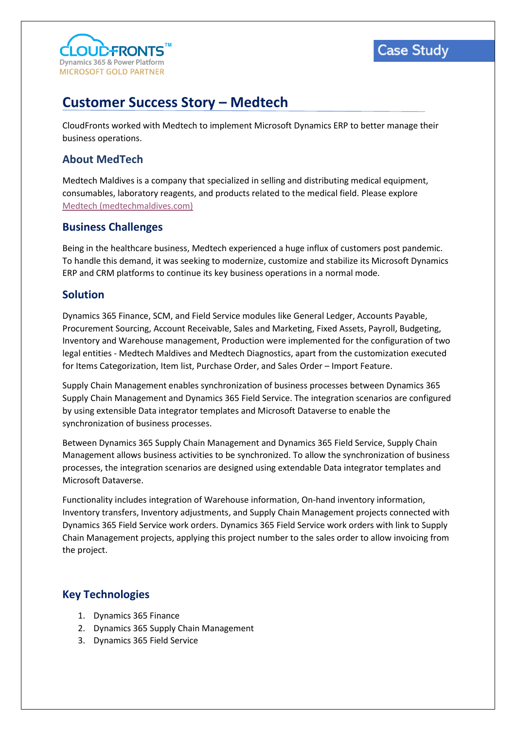



# **Customer Success Story – Medtech**

CloudFronts worked with Medtech to implement Microsoft Dynamics ERP to better manage their business operations.

## **About MedTech**

Medtech Maldives is a company that specialized in selling and distributing medical equipment, consumables, laboratory reagents, and products related to the medical field. Please explore [Medtech \(medtechmaldives.com\)](https://www.medtechmaldives.com/)

#### **Business Challenges**

Being in the healthcare business, Medtech experienced a huge influx of customers post pandemic. To handle this demand, it was seeking to modernize, customize and stabilize its Microsoft Dynamics ERP and CRM platforms to continue its key business operations in a normal mode.

#### **Solution**

Dynamics 365 Finance, SCM, and Field Service modules like General Ledger, Accounts Payable, Procurement Sourcing, Account Receivable, Sales and Marketing, Fixed Assets, Payroll, Budgeting, Inventory and Warehouse management, Production were implemented for the configuration of two legal entities - Medtech Maldives and Medtech Diagnostics, apart from the customization executed for Items Categorization, Item list, Purchase Order, and Sales Order – Import Feature.

Supply Chain Management enables synchronization of business processes between Dynamics 365 Supply Chain Management and Dynamics 365 Field Service. The integration scenarios are configured by using extensible Data integrator templates and Microsoft Dataverse to enable the synchronization of business processes.

Between Dynamics 365 Supply Chain Management and Dynamics 365 Field Service, Supply Chain Management allows business activities to be synchronized. To allow the synchronization of business processes, the integration scenarios are designed using extendable Data integrator templates and Microsoft Dataverse.

Functionality includes integration of Warehouse information, On-hand inventory information, Inventory transfers, Inventory adjustments, and Supply Chain Management projects connected with Dynamics 365 Field Service work orders. Dynamics 365 Field Service work orders with link to Supply Chain Management projects, applying this project number to the sales order to allow invoicing from the project.

### **Key Technologies**

- 1. Dynamics 365 Finance
- 2. Dynamics 365 Supply Chain Management
- 3. Dynamics 365 Field Service